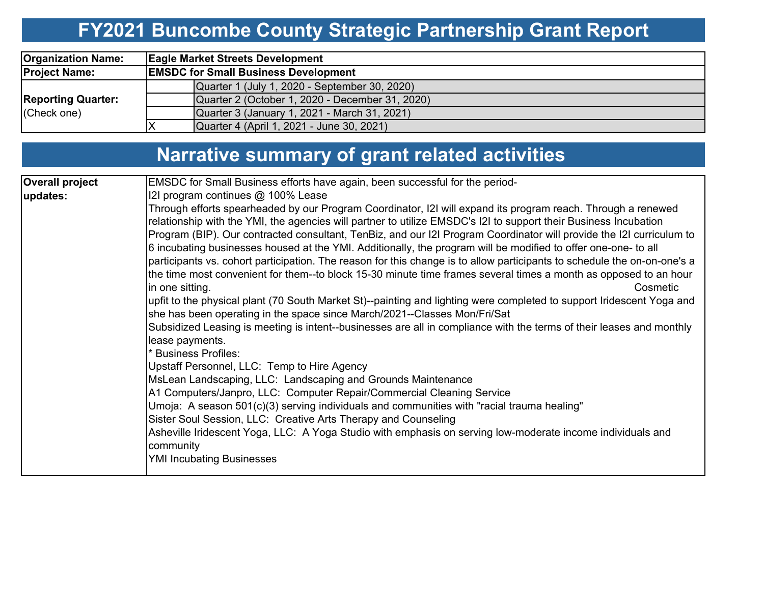## **FY2021 Buncombe County Strategic Partnership Grant Report**

| <b>Organization Name:</b>                | <b>Eagle Market Streets Development</b>         |  |  |  |  |  |  |  |  |
|------------------------------------------|-------------------------------------------------|--|--|--|--|--|--|--|--|
| <b>Project Name:</b>                     | <b>EMSDC for Small Business Development</b>     |  |  |  |  |  |  |  |  |
|                                          | Quarter 1 (July 1, 2020 - September 30, 2020)   |  |  |  |  |  |  |  |  |
| <b>Reporting Quarter:</b><br>(Check one) | Quarter 2 (October 1, 2020 - December 31, 2020) |  |  |  |  |  |  |  |  |
|                                          | Quarter 3 (January 1, 2021 - March 31, 2021)    |  |  |  |  |  |  |  |  |
|                                          | Quarter 4 (April 1, 2021 - June 30, 2021)       |  |  |  |  |  |  |  |  |

## **Narrative summary of grant related activities**

| <b>Overall project</b> | EMSDC for Small Business efforts have again, been successful for the period-                                                                                                                                                                                                                                                                                                                                                                                                                                                                                                                                                                                                                                                                                                                                                                                                                                                                                                                                                                                                                                                                                                                                                                                                                                                                                                                                                                                                                                                                                                                                                                                   |  |  |  |  |  |  |  |  |
|------------------------|----------------------------------------------------------------------------------------------------------------------------------------------------------------------------------------------------------------------------------------------------------------------------------------------------------------------------------------------------------------------------------------------------------------------------------------------------------------------------------------------------------------------------------------------------------------------------------------------------------------------------------------------------------------------------------------------------------------------------------------------------------------------------------------------------------------------------------------------------------------------------------------------------------------------------------------------------------------------------------------------------------------------------------------------------------------------------------------------------------------------------------------------------------------------------------------------------------------------------------------------------------------------------------------------------------------------------------------------------------------------------------------------------------------------------------------------------------------------------------------------------------------------------------------------------------------------------------------------------------------------------------------------------------------|--|--|--|--|--|--|--|--|
|                        | I2I program continues @ 100% Lease                                                                                                                                                                                                                                                                                                                                                                                                                                                                                                                                                                                                                                                                                                                                                                                                                                                                                                                                                                                                                                                                                                                                                                                                                                                                                                                                                                                                                                                                                                                                                                                                                             |  |  |  |  |  |  |  |  |
| updates:               | Through efforts spearheaded by our Program Coordinator, I2I will expand its program reach. Through a renewed<br>relationship with the YMI, the agencies will partner to utilize EMSDC's I2I to support their Business Incubation<br>Program (BIP). Our contracted consultant, TenBiz, and our I2I Program Coordinator will provide the I2I curriculum to<br>6 incubating businesses housed at the YMI. Additionally, the program will be modified to offer one-one- to all<br>participants vs. cohort participation. The reason for this change is to allow participants to schedule the on-on-one's a<br>the time most convenient for them--to block 15-30 minute time frames several times a month as opposed to an hour<br>in one sitting.<br>Cosmetic<br>upfit to the physical plant (70 South Market St)--painting and lighting were completed to support Iridescent Yoga and<br>she has been operating in the space since March/2021--Classes Mon/Fri/Sat<br>Subsidized Leasing is meeting is intent--businesses are all in compliance with the terms of their leases and monthly<br>lease payments.<br><b>Business Profiles:</b><br>Upstaff Personnel, LLC: Temp to Hire Agency<br>MsLean Landscaping, LLC: Landscaping and Grounds Maintenance<br>A1 Computers/Janpro, LLC: Computer Repair/Commercial Cleaning Service<br>Umoja: A season 501(c)(3) serving individuals and communities with "racial trauma healing"<br>Sister Soul Session, LLC: Creative Arts Therapy and Counseling<br>Asheville Iridescent Yoga, LLC: A Yoga Studio with emphasis on serving low-moderate income individuals and<br>community<br><b>YMI Incubating Businesses</b> |  |  |  |  |  |  |  |  |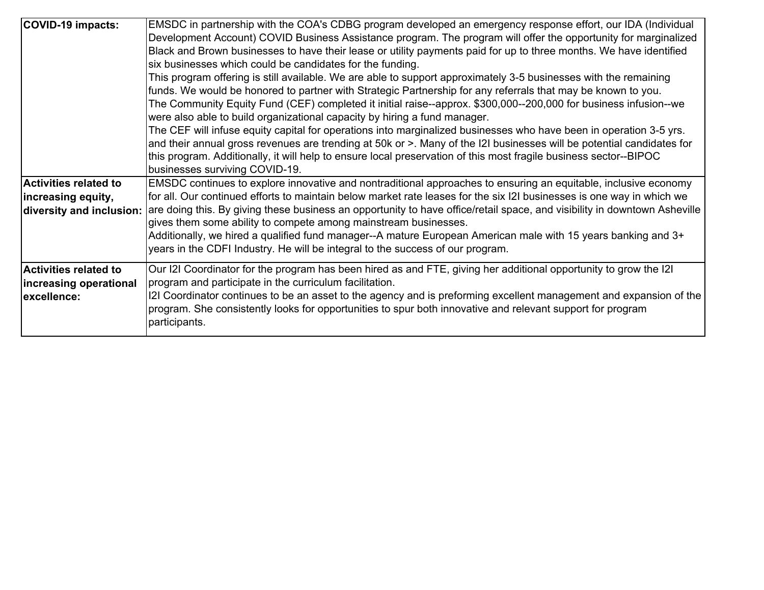| <b>COVID-19 impacts:</b>                                                       | EMSDC in partnership with the COA's CDBG program developed an emergency response effort, our IDA (Individual<br>Development Account) COVID Business Assistance program. The program will offer the opportunity for marginalized<br>Black and Brown businesses to have their lease or utility payments paid for up to three months. We have identified<br>six businesses which could be candidates for the funding.<br>This program offering is still available. We are able to support approximately 3-5 businesses with the remaining<br>funds. We would be honored to partner with Strategic Partnership for any referrals that may be known to you.<br>The Community Equity Fund (CEF) completed it initial raise--approx. \$300,000--200,000 for business infusion--we<br>were also able to build organizational capacity by hiring a fund manager.<br>The CEF will infuse equity capital for operations into marginalized businesses who have been in operation 3-5 yrs.<br>and their annual gross revenues are trending at 50k or >. Many of the I2I businesses will be potential candidates for<br>this program. Additionally, it will help to ensure local preservation of this most fragile business sector--BIPOC<br>businesses surviving COVID-19. |
|--------------------------------------------------------------------------------|---------------------------------------------------------------------------------------------------------------------------------------------------------------------------------------------------------------------------------------------------------------------------------------------------------------------------------------------------------------------------------------------------------------------------------------------------------------------------------------------------------------------------------------------------------------------------------------------------------------------------------------------------------------------------------------------------------------------------------------------------------------------------------------------------------------------------------------------------------------------------------------------------------------------------------------------------------------------------------------------------------------------------------------------------------------------------------------------------------------------------------------------------------------------------------------------------------------------------------------------------------------|
| <b>Activities related to</b><br>increasing equity,<br>diversity and inclusion: | EMSDC continues to explore innovative and nontraditional approaches to ensuring an equitable, inclusive economy<br>for all. Our continued efforts to maintain below market rate leases for the six I2I businesses is one way in which we<br>are doing this. By giving these business an opportunity to have office/retail space, and visibility in downtown Asheville<br>gives them some ability to compete among mainstream businesses.<br>Additionally, we hired a qualified fund manager--A mature European American male with 15 years banking and 3+<br>years in the CDFI Industry. He will be integral to the success of our program.                                                                                                                                                                                                                                                                                                                                                                                                                                                                                                                                                                                                                   |
| <b>Activities related to</b><br>increasing operational<br>excellence:          | Our I2I Coordinator for the program has been hired as and FTE, giving her additional opportunity to grow the I2I<br>program and participate in the curriculum facilitation.<br>[2] Coordinator continues to be an asset to the agency and is preforming excellent management and expansion of the<br>program. She consistently looks for opportunities to spur both innovative and relevant support for program<br>participants.                                                                                                                                                                                                                                                                                                                                                                                                                                                                                                                                                                                                                                                                                                                                                                                                                              |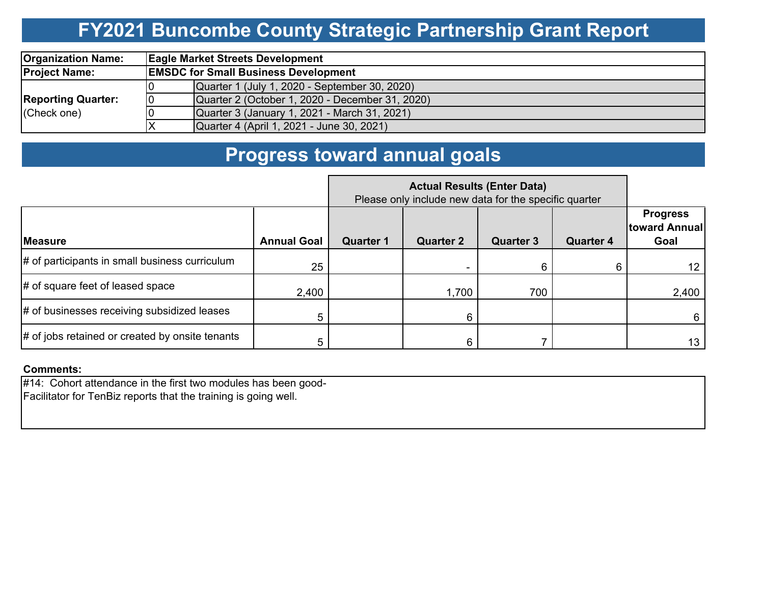### **FY2021 Buncombe County Strategic Partnership Grant Report**

| <b>Organization Name:</b>                |                                             | <b>Eagle Market Streets Development</b>         |  |  |  |  |  |  |  |
|------------------------------------------|---------------------------------------------|-------------------------------------------------|--|--|--|--|--|--|--|
| <b>Project Name:</b>                     | <b>EMSDC for Small Business Development</b> |                                                 |  |  |  |  |  |  |  |
|                                          |                                             | Quarter 1 (July 1, 2020 - September 30, 2020)   |  |  |  |  |  |  |  |
| <b>Reporting Quarter:</b><br>(Check one) | 10                                          | Quarter 2 (October 1, 2020 - December 31, 2020) |  |  |  |  |  |  |  |
|                                          |                                             | Quarter 3 (January 1, 2021 - March 31, 2021)    |  |  |  |  |  |  |  |
|                                          | X                                           | Quarter 4 (April 1, 2021 - June 30, 2021)       |  |  |  |  |  |  |  |

### **Progress toward annual goals**

|                                                 |                    | Please only include new data for the specific quarter |                  |                  |                  |                                          |
|-------------------------------------------------|--------------------|-------------------------------------------------------|------------------|------------------|------------------|------------------------------------------|
| <b>Measure</b>                                  | <b>Annual Goal</b> | <b>Quarter 1</b>                                      | <b>Quarter 2</b> | <b>Quarter 3</b> | <b>Quarter 4</b> | <b>Progress</b><br>toward Annual<br>Goal |
| # of participants in small business curriculum  | 25                 |                                                       |                  | 6                |                  | 12                                       |
| $\#$ of square feet of leased space             | 2,400              |                                                       | 1,700            | 700              |                  | 2,400                                    |
| $\#$ of businesses receiving subsidized leases  | 5                  |                                                       | 6                |                  |                  | 6                                        |
| # of jobs retained or created by onsite tenants |                    |                                                       | 6.               |                  |                  | 13                                       |

### **Comments:**

#14: Cohort attendance in the first two modules has been good-Facilitator for TenBiz reports that the training is going well.